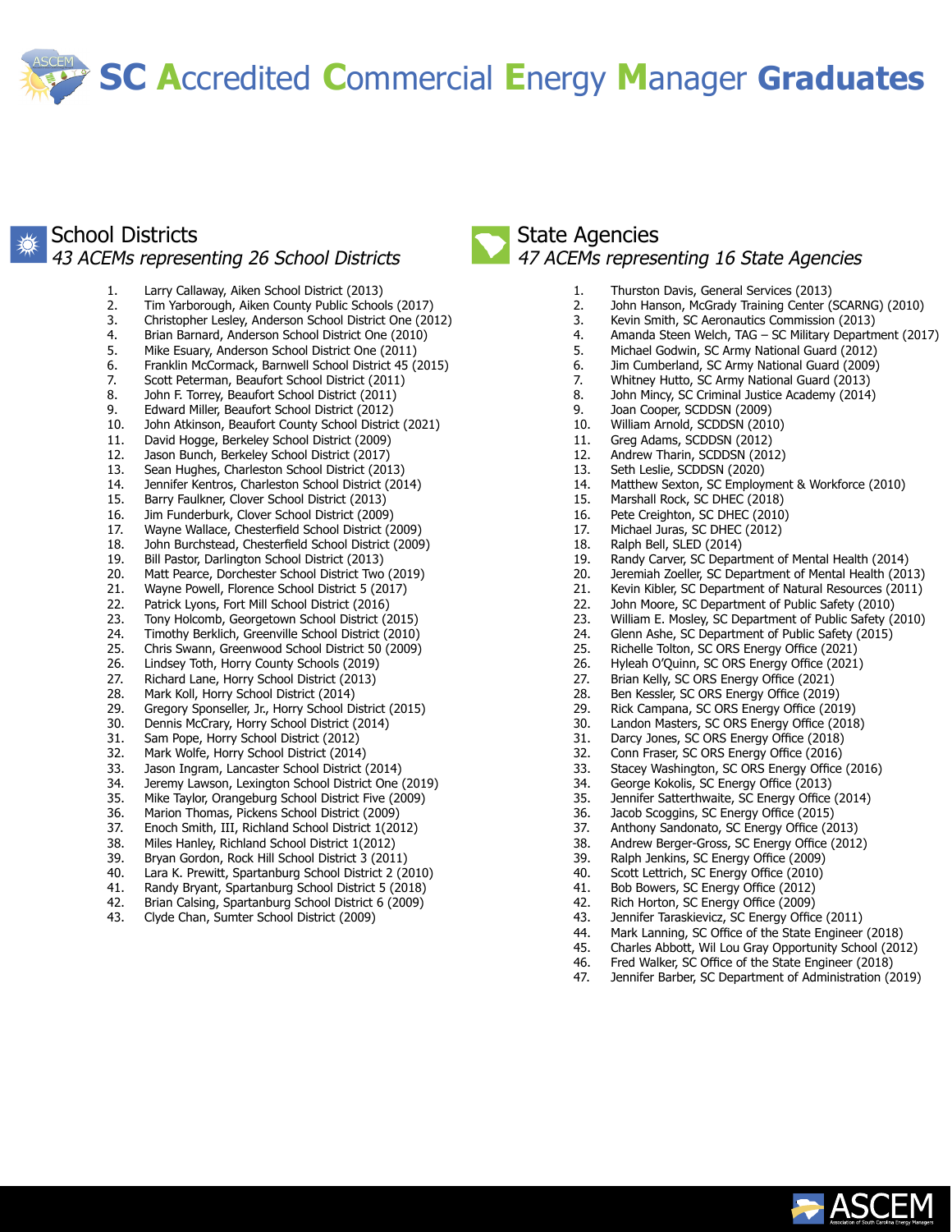**SC A**ccredited **C**ommercial **E**nergy **M**anager **Graduates**

### School Districts 43 ACEMs representing 26 School Districts

- 1. Larry Callaway, Aiken School District (2013) 2. Tim Yarborough, Aiken County Public Schools (2017)
- 3. Christopher Lesley, Anderson School District One (2012)
- 4. Brian Barnard, Anderson School District One (2010)
- Mike Esuary, Anderson School District One (2011)
- 6. Franklin McCormack, Barnwell School District 45 (2015)
- 7. Scott Peterman, Beaufort School District (2011)
- 8. John F. Torrey, Beaufort School District (2011)
- 9. Edward Miller, Beaufort School District (2012)
- 10. John Atkinson, Beaufort County School District (2021) 11. David Hogge, Berkeley School District (2009)
- 
- 12. Jason Bunch, Berkeley School District (2017)
- 13. Sean Hughes, Charleston School District (2013)
- 14. Jennifer Kentros, Charleston School District (2014)
- 15. Barry Faulkner, Clover School District (2013)
- 16. Jim Funderburk, Clover School District (2009)
- 17. Wayne Wallace, Chesterfield School District (2009)
- 18. John Burchstead, Chesterfield School District (2009) 19. Bill Pastor, Darlington School District (2013)
- 20. Matt Pearce, Dorchester School District Two (2019)
- 21. Wayne Powell, Florence School District 5 (2017)
- 22. Patrick Lyons, Fort Mill School District (2016)
- 23. Tony Holcomb, Georgetown School District (2015)
- 24. Timothy Berklich, Greenville School District (2010)
- 25. Chris Swann, Greenwood School District 50 (2009)
- 26. Lindsey Toth, Horry County Schools (2019)
- 27. Richard Lane, Horry School District (2013)
- 28. Mark Koll, Horry School District (2014)
- 29. Gregory Sponseller, Jr., Horry School District (2015)
- 30. Dennis McCrary, Horry School District (2014)
- 31. Sam Pope, Horry School District (2012)
- 32. Mark Wolfe, Horry School District (2014)
- 33. Jason Ingram, Lancaster School District (2014)
- 34. Jeremy Lawson, Lexington School District One (2019)
- 35. Mike Taylor, Orangeburg School District Five (2009)
- 36. Marion Thomas, Pickens School District (2009)
- 37. Enoch Smith, III, Richland School District 1(2012)
- 38. Miles Hanley, Richland School District 1(2012)
- 39. Bryan Gordon, Rock Hill School District 3 (2011)
- 
- 40. Lara K. Prewitt, Spartanburg School District 2 (2010) 41. Randy Bryant, Spartanburg School District 5 (2018)
- 42. Brian Calsing, Spartanburg School District 6 (2009)
- 43. Clyde Chan, Sumter School District (2009)

### State Agencies 47 ACEMs representing 16 State Agencies

- 1. Thurston Davis, General Services (2013)
- 2. John Hanson, McGrady Training Center (SCARNG) (2010)
- 3. Kevin Smith, SC Aeronautics Commission (2013)
- 4. Amanda Steen Welch, TAG SC Military Department (2017)
- 5. Michael Godwin, SC Army National Guard (2012)
- 6. Jim Cumberland, SC Army National Guard (2009)
- 7. Whitney Hutto, SC Army National Guard (2013)
- 8. John Mincy, SC Criminal Justice Academy (2014)
- 9. Joan Cooper, SCDDSN (2009)
- 10. William Arnold, SCDDSN (2010)
- 11. Greg Adams, SCDDSN (2012)
- 12. Andrew Tharin, SCDDSN (2012)
- 13. Seth Leslie, SCDDSN (2020)
- 14. Matthew Sexton, SC Employment & Workforce (2010)
- 15. Marshall Rock, SC DHEC (2018)
- 16. Pete Creighton, SC DHEC (2010)
- 17. Michael Juras, SC DHEC (2012)
- 18. Ralph Bell, SLED (2014)
- 19. Randy Carver, SC Department of Mental Health (2014)
- 20. Jeremiah Zoeller, SC Department of Mental Health (2013)
- 21. Kevin Kibler, SC Department of Natural Resources (2011)
- 22. John Moore, SC Department of Public Safety (2010)
- 23. William E. Mosley, SC Department of Public Safety (2010)<br>24. Glenn Ashe. SC Department of Public Safety (2015)
- 24. Glenn Ashe, SC Department of Public Safety (2015)<br>25. Richelle Tolton, SC ORS Energy Office (2021)
- 25. Richelle Tolton, SC ORS Energy Office (2021)
- 26. Hyleah O'Quinn, SC ORS Energy Office (2021)
- 27. Brian Kelly, SC ORS Energy Office (2021)
- 
- 28. Ben Kessler, SC ORS Energy Office (2019) Rick Campana, SC ORS Energy Office (2019)
- 30. Landon Masters, SC ORS Energy Office (2018)
- 31. Darcy Jones, SC ORS Energy Office (2018)
- 32. Conn Fraser, SC ORS Energy Office (2016)
- 33. Stacey Washington, SC ORS Energy Office (2016)
- 
- 34. George Kokolis, SC Energy Office (2013) Jennifer Satterthwaite, SC Energy Office (2014)
- 36. Jacob Scoggins, SC Energy Office (2015)
- 37. Anthony Sandonato, SC Energy Office (2013)
- 38. Andrew Berger-Gross, SC Energy Office (2012)
- 39. Ralph Jenkins, SC Energy Office (2009)
- 
- 40. Scott Lettrich, SC Energy Office (2010)<br>41. Bob Bowers. SC Energy Office (2012) Bob Bowers, SC Energy Office (2012)
- 42. Rich Horton, SC Energy Office (2009)
- 43. Jennifer Taraskievicz, SC Energy Office (2011)
- 44. Mark Lanning, SC Office of the State Engineer (2018)
- 45. Charles Abbott, Wil Lou Gray Opportunity School (2012)
- 46. Fred Walker, SC Office of the State Engineer (2018)
- 47. Jennifer Barber, SC Department of Administration (2019)

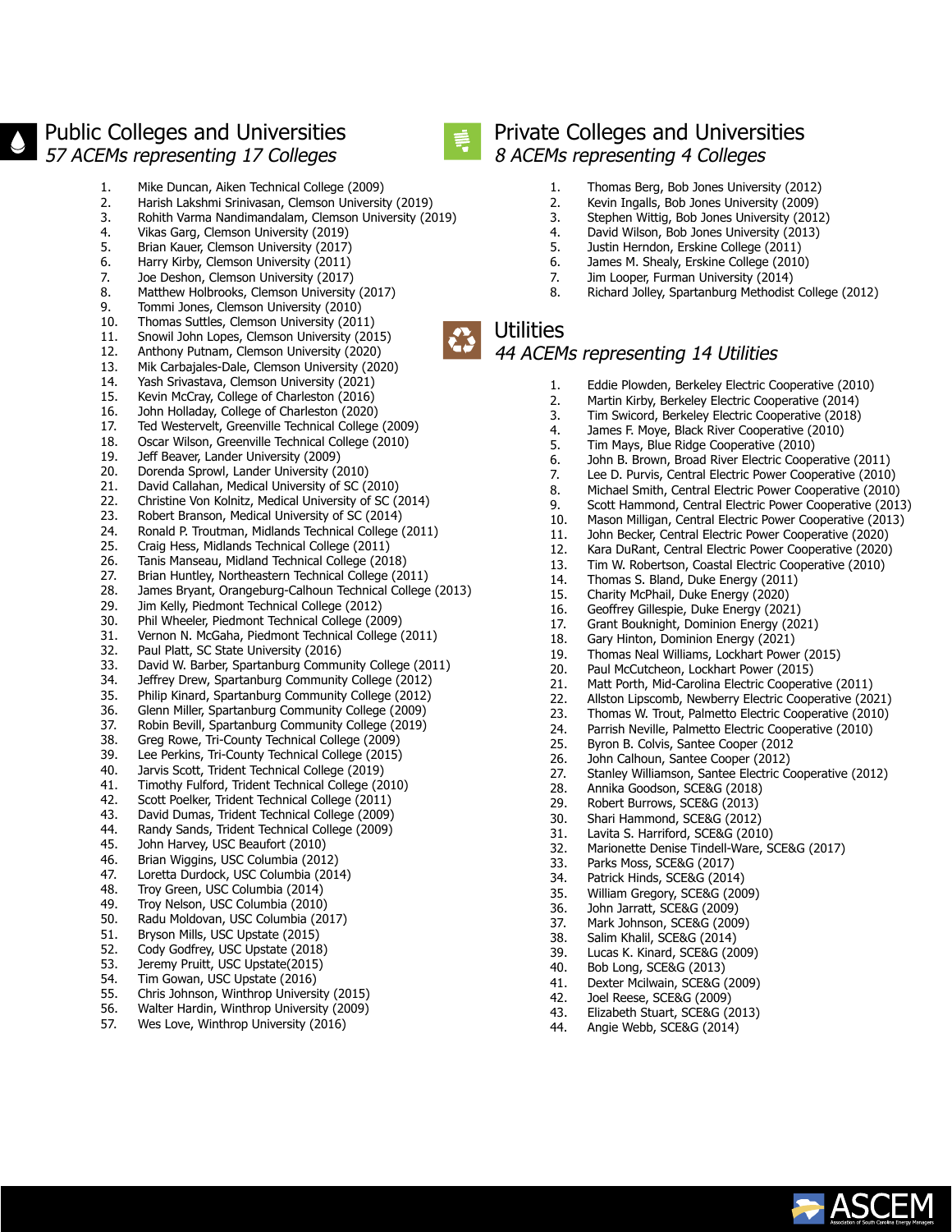# Public Colleges and Universities 57 ACEMs representing 17 Colleges

1. Mike Duncan, Aiken Technical College (2009)

4. Vikas Garg, Clemson University (2019) 5. Brian Kauer, Clemson University (2017) 6. Harry Kirby, Clemson University (2011) 7. Joe Deshon, Clemson University (2017) 8. Matthew Holbrooks, Clemson University (2017) 9. Tommi Jones, Clemson University (2010) 10. Thomas Suttles, Clemson University (2011) 11. Snowil John Lopes, Clemson University (2015) 12. Anthony Putnam, Clemson University (2020) 13. Mik Carbajales-Dale, Clemson University (2020) 14. Yash Srivastava, Clemson University (2021) 15. Kevin McCray, College of Charleston (2016) 16. John Holladay, College of Charleston (2020) 17. Ted Westervelt, Greenville Technical College (2009) 18. Oscar Wilson, Greenville Technical College (2010)

19. Jeff Beaver, Lander University (2009) 20. Dorenda Sprowl, Lander University (2010) 21. David Callahan, Medical University of SC (2010) 22. Christine Von Kolnitz, Medical University of SC (2014) 23. Robert Branson, Medical University of SC (2014) 24. Ronald P. Troutman, Midlands Technical College (2011) 25. Craig Hess, Midlands Technical College (2011) 26. Tanis Manseau, Midland Technical College (2018)

2. Harish Lakshmi Srinivasan, Clemson University (2019) 3. Rohith Varma Nandimandalam, Clemson University (2019)



## Private Colleges and Universities 8 ACEMs representing 4 Colleges

- 1. Thomas Berg, Bob Jones University (2012)
	- 2. Kevin Ingalls, Bob Jones University (2009)
	- 3. Stephen Wittig, Bob Jones University (2012)
	- 4. David Wilson, Bob Jones University (2013)
	- 5. Justin Herndon, Erskine College (2011)
	- 6. James M. Shealy, Erskine College (2010)<br>7. Jim Looper. Furman University (2014)
	- Jim Looper, Furman University (2014)
	- 8. Richard Jolley, Spartanburg Methodist College (2012)

# **Utilities**

### 44 ACEMs representing 14 Utilities

- 1. Eddie Plowden, Berkeley Electric Cooperative (2010)<br>2. Martin Kirby, Berkeley Electric Cooperative (2014)
- 2. Martin Kirby, Berkeley Electric Cooperative (2014)
- 3. Tim Swicord, Berkeley Electric Cooperative (2018)
- 4. James F. Moye, Black River Cooperative (2010)<br>5. Tim Mays, Blue Ridge Cooperative (2010)
- 5. Tim Mays, Blue Ridge Cooperative (2010)<br>6. John B. Brown, Broad River Electric Coope
- 6. John B. Brown, Broad River Electric Cooperative (2011)<br>7. Lee D. Purvis, Central Electric Power Cooperative (2010
- Lee D. Purvis, Central Electric Power Cooperative (2010)
- 8. Michael Smith, Central Electric Power Cooperative (2010)
- 9. Scott Hammond, Central Electric Power Cooperative (2013)
- 10. Mason Milligan, Central Electric Power Cooperative (2013)
- 11. John Becker, Central Electric Power Cooperative (2020)
- 12. Kara DuRant, Central Electric Power Cooperative (2020)
- 13. Tim W. Robertson, Coastal Electric Cooperative (2010)
- 14. Thomas S. Bland, Duke Energy (2011)
- 15. Charity McPhail, Duke Energy (2020) 16. Geoffrey Gillespie, Duke Energy (2021)
- 17. Grant Bouknight, Dominion Energy (2021)
- 18. Gary Hinton, Dominion Energy (2021)
- 19. Thomas Neal Williams, Lockhart Power (2015)
- 
- 20. Paul McCutcheon, Lockhart Power (2015)<br>21. Matt Porth. Mid-Carolina Electric Cooperat Matt Porth, Mid-Carolina Electric Cooperative (2011)
- 22. Allston Lipscomb, Newberry Electric Cooperative (2021)
- 23. Thomas W. Trout, Palmetto Electric Cooperative (2010)
- 24. Parrish Neville, Palmetto Electric Cooperative (2010)<br>25. Byron B. Colvis, Santee Cooper (2012
- 25. Byron B. Colvis, Santee Cooper (2012
- 
- 26. John Calhoun, Santee Cooper (2012)<br>27. Stanley Williamson, Santee Electric Co Stanley Williamson, Santee Electric Cooperative (2012)
- 28. Annika Goodson, SCE&G (2018)
- 29. Robert Burrows, SCE&G (2013)
- 30. Shari Hammond, SCE&G (2012)
- 31. Lavita S. Harriford, SCE&G (2010)
- 32. Marionette Denise Tindell-Ware, SCE&G (2017)
- 33. Parks Moss, SCE&G (2017)
- 
- 34. Patrick Hinds, SCE&G (2014) 35. William Gregory, SCE&G (2009)
- 36. John Jarratt, SCE&G (2009)<br>37. Mark Johnson, SCE&G (2009
- Mark Johnson, SCE&G (2009)
- 38. Salim Khalil, SCE&G (2014)
- 39. Lucas K. Kinard, SCE&G (2009)
- 40. Bob Long, SCE&G (2013)<br>41. Dexter Mcilwain. SCE&G ( Dexter Mcilwain, SCE&G (2009)
- 42. Joel Reese, SCE&G (2009)
- 43. Elizabeth Stuart, SCE&G (2013)
- 44. Angie Webb, SCE&G (2014)



27. Brian Huntley, Northeastern Technical College (2011) 28. James Bryant, Orangeburg-Calhoun Technical College (2013) Jim Kelly, Piedmont Technical College (2012) 30. Phil Wheeler, Piedmont Technical College (2009) 31. Vernon N. McGaha, Piedmont Technical College (2011) 32. Paul Platt, SC State University (2016) 33. David W. Barber, Spartanburg Community College (2011) 34. Jeffrey Drew, Spartanburg Community College (2012) 35. Philip Kinard, Spartanburg Community College (2012) 36. Glenn Miller, Spartanburg Community College (2009)

- 
- 
- 37. Robin Bevill, Spartanburg Community College (2019) 38. Greg Rowe, Tri-County Technical College (2009)
- 39. Lee Perkins, Tri-County Technical College (2015)
- 
- 40. Jarvis Scott, Trident Technical College (2019)
- 41. Timothy Fulford, Trident Technical College (2010)
- 42. Scott Poelker, Trident Technical College (2011) 43. David Dumas, Trident Technical College (2009)
- 44. Randy Sands, Trident Technical College (2009)
- 
- 45. John Harvey, USC Beaufort (2010) 46. Brian Wiggins, USC Columbia (2012)
- 47. Loretta Durdock, USC Columbia (2014)
- 48. Troy Green, USC Columbia (2014)
- 49. Troy Nelson, USC Columbia (2010)
- 50. Radu Moldovan, USC Columbia (2017)
- 51. Bryson Mills, USC Upstate (2015)
- 52. Cody Godfrey, USC Upstate (2018)
- 53. Jeremy Pruitt, USC Upstate(2015)
- 54. Tim Gowan, USC Upstate (2016)
- 55. Chris Johnson, Winthrop University (2015)
- 56. Walter Hardin, Winthrop University (2009)
- 57. Wes Love, Winthrop University (2016)